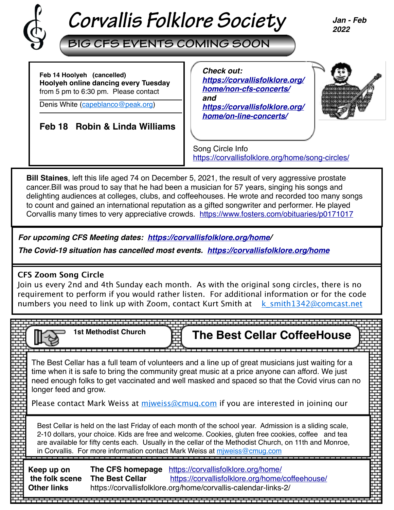

**BIG CFS EVENTS COMING SOON**

*Jan - Feb 2022*

**Feb 14 Hoolyeh (cancelled) Hoolyeh online dancing every Tuesday** from 5 pm to 6:30 pm. Please contact

Denis White ([capeblanco@peak.org\)](mailto:capeblanco@peak.org)

## **Feb 18 Robin & Linda Williams**

 *Check out: [https://corvallisfolklore.org/](https://corvallisfolklore.org/home/non-cfs-concerts/) [home/non-cfs-concerts/](https://corvallisfolklore.org/home/non-cfs-concerts/) and [https://corvallisfolklore.org/](https://corvallisfolklore.org/home/on-line-concerts/) [home/on-line-concerts/](https://corvallisfolklore.org/home/on-line-concerts/)*



Song Circle Info <https://corvallisfolklore.org/home/song-circles/>

**Bill Staines**, left this life aged 74 on December 5, 2021, the result of very aggressive prostate cancer.Bill was proud to say that he had been a musician for 57 years, singing his songs and delighting audiences at colleges, clubs, and coffeehouses. He wrote and recorded too many songs to count and gained an international reputation as a gifted songwriter and performer. He played Corvallis many times to very appreciative crowds. <https://www.fosters.com/obituaries/p0171017>

*For upcoming CFS Meeting dates: <https://corvallisfolklore.org/home>/*

*The Covid-19 situation has cancelled most events. [https://corvallisfolklore.org/home](https://corvallisfolklore.org/)*

## **CFS Zoom Song Circle**

Join us every 2nd and 4th Sunday each month. As with the original song circles, there is no requirement to perform if you would rather listen. For additional information or for the code numbers you need to link up with Zoom, contact Kurt Smith at  $k$  smith1342@comcast.net

|                                                                                                                                                                                                                                                                                                                                                                                                     | <b>1st Methodist Church</b>         |  | <b>The Best Cellar CoffeeHouse</b>                                                                                                                                                                                                                                                                                                                                                        |  |
|-----------------------------------------------------------------------------------------------------------------------------------------------------------------------------------------------------------------------------------------------------------------------------------------------------------------------------------------------------------------------------------------------------|-------------------------------------|--|-------------------------------------------------------------------------------------------------------------------------------------------------------------------------------------------------------------------------------------------------------------------------------------------------------------------------------------------------------------------------------------------|--|
| longer feed and grow.                                                                                                                                                                                                                                                                                                                                                                               |                                     |  | The Best Cellar has a full team of volunteers and a line up of great musicians just waiting for a<br>time when it is safe to bring the community great music at a price anyone can afford. We just<br>need enough folks to get vaccinated and well masked and spaced so that the Covid virus can no<br>Please contact Mark Weiss at miweiss@cmug.com if you are interested in joining our |  |
| Best Cellar is held on the last Friday of each month of the school year. Admission is a sliding scale,<br>2-10 dollars, your choice. Kids are free and welcome. Cookies, gluten free cookies, coffee and tea<br>are available for fifty cents each. Usually in the cellar of the Methodist Church, on 11th and Monroe,<br>in Corvallis. For more information contact Mark Weiss at miweiss@cmug.com |                                     |  |                                                                                                                                                                                                                                                                                                                                                                                           |  |
| Keep up on<br>the folk scene<br><b>Other links</b>                                                                                                                                                                                                                                                                                                                                                  | The CFS homepage<br>The Best Cellar |  | https://corvallisfolklore.org/home/<br>https://corvallisfolklore.org/home/coffeehouse/<br>https://corvallisfolklore.org/home/corvallis-calendar-links-2/                                                                                                                                                                                                                                  |  |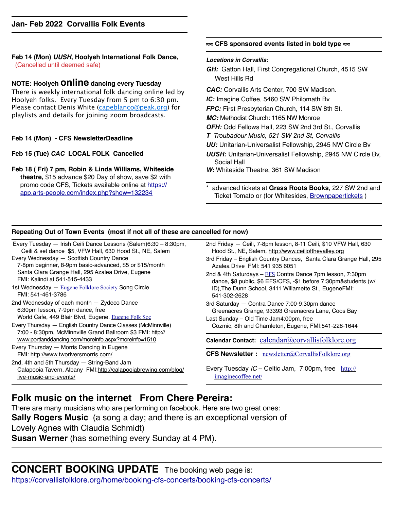#### **Feb 14 (Mon)** *UUSH***, Hoolyeh International Folk Dance,**  (Cancelled until deemed safe)

### **NOTE: Hoolyeh online dancing every Tuesday**

There is weekly international folk dancing online led by Hoolyeh folks. Every Tuesday from 5 pm to 6:30 pm. Please contact Denis White ([capeblanco@peak.org](mailto:capeblanco@peak.org)) for playlists and details for joining zoom broadcasts.

#### **Feb 14 (Mon) - CFS NewsletterDeadline**

**Feb 15 (Tue)** *CAC* **LOCAL FOLK Cancelled**

**Feb 18 ( Fri) 7 pm, Robin & Linda Williams, Whiteside theatre,** \$15 advance \$20 Day of show, save \$2 with [promo code CFS, Tickets available](https://app.arts-people.com/index.php?show=132234) online at [https://](https://app.arts-people.com/index.php?show=132234) [app.arts-people.com/index.php?show=132234](https://app.arts-people.com/index.php?show=132234)

#### **≈≈ CFS sponsored events listed in bold type ≈≈**

#### *Locations in Corvallis:*

- *GH:* Gatton Hall, First Congregational Church, 4515 SW West Hills Rd
- *CAC:* Corvallis Arts Center, 700 SW Madison.
- *IC:* Imagine Coffee, 5460 SW Philomath Bv
- *FPC:* First Presbyterian Church, 114 SW 8th St.
- *MC:* Methodist Church: 1165 NW Monroe
- *OFH:* Odd Fellows Hall, 223 SW 2nd 3rd St., Corvallis
- *T Troubadour Music, 521 SW 2nd St, Corvallis*
- *UU:* Unitarian-Universalist Fellowship, 2945 NW Circle Bv
- *UUSH:* Unitarian-Universalist Fellowship, 2945 NW Circle Bv, Social Hall
- *W:* Whiteside Theatre, 361 SW Madison
- \* advanced tickets at **Grass Roots Books**, 227 SW 2nd and Ticket Tomato or (for Whitesides, [Brownpapertickets](https://www.brownpapertickets.com) )

#### **Repeating Out of Town Events (most if not all of these are cancelled for now)**

Every Tuesday — Irish Ceili Dance Lessons (Salem)6:30 – 8:30pm, Ceili & set dance \$5, VFW Hall, 630 Hood St., NE, Salem

- Every Wednesday Scottish Country Dance 7-8pm beginner, 8-9pm basic-advanced, \$5 or \$15/month Santa Clara Grange Hall, 295 Azalea Drive, Eugene FMI: Kalindi at 541-515-4433
- 1st Wednesday [Eugene Folklore Society](http://www.eugenefolklore.org) Song Circle FMI: 541-461-3786

2nd Wednesday of each month — Zydeco Dance 6:30pm lesson, 7-9pm dance, free World Cafe, 449 Blair Blvd, Eugene. [Eugene Folk Soc](http://www.eugenefolklore.org)

Every Thursday — English Country Dance Classes (McMinnville) 7:00 - 8:30pm, McMinnville Grand Ballroom \$3 FMI: [http://](http://www.portlanddancing.com/moreinfo.aspx?moreinfo=1510) [www.portlanddancing.com/moreinfo.aspx?moreinfo=1510](http://www.portlanddancing.com/moreinfo.aspx?moreinfo=1510)

Every Thursday — Morris Dancing in Eugene FMI: <http://www.tworiversmorris.com/>

2nd, 4th and 5th Thursday — String-Band Jam Calapooia Tavern, Albany FMI:[http://calapooiabrewing.com/blog/](http://calapooiabrewing.com/blog/live-music-and-events/) [live-music-and-events/](http://calapooiabrewing.com/blog/live-music-and-events/)

- 2nd Friday Ceili, 7-8pm lesson, 8-11 Ceili, \$10 VFW Hall, 630 Hood St., NE, Salem, [http://www.ceiliofthevalley.org](http://www.ceiliofthevalley.org/)
- 3rd Friday English Country Dances, Santa Clara Grange Hall, 295 Azalea Drive FMI: 541 935 6051

2nd & 4th Saturdays - [EFS](http://www.eugenefolklore.org) Contra Dance 7pm lesson, 7:30pm dance, \$8 public, \$6 EFS/CFS, -\$1 before 7:30pm&students (w/ ID),The Dunn School, 3411 Willamette St., EugeneFMI: 541-302-2628

3rd Saturday — Contra Dance 7:00-9:30pm dance Greenacres Grange, 93393 Greenacres Lane, Coos Bay

Last Sunday – Old Time Jam4:00pm, free Cozmic, 8th and Charnleton, Eugene, FMI:541-228-1644

Calendar Contact: [calendar@corvallisfolklore.org](mailto:%20calendar@corvallisfolklore.org)

**CFS Newsletter :** [newsletter@CorvallisFolklore.org](mailto:%20newsletter@CorvallisFolklore.org)

Every Tuesday *IC* – Celtic Jam, 7:00pm, free [http://](http://imaginecoffee.net/) [imaginecoffee.net/](http://imaginecoffee.net/)

## **Folk music on the internet From Chere Pereira:**

There are many musicians who are performing on facebook. Here are two great ones: **Sally Rogers Music** (a song a day; and there is an exceptional version of Lovely Agnes with Claudia Schmidt) **Susan Werner** (has something every Sunday at 4 PM).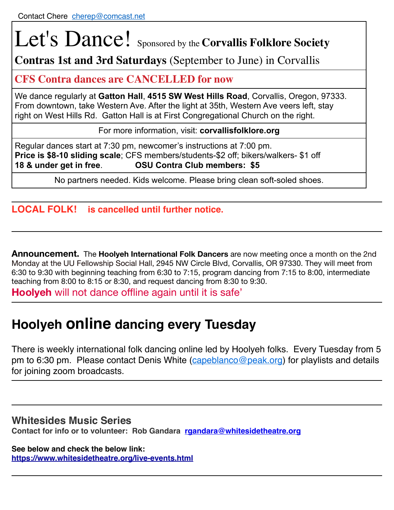# Let's Dance! Sponsored by the **Corvallis Folklore Society**

**Contras 1st and 3rd Saturdays** (September to June) in Corvallis

## **CFS Contra dances are CANCELLED for now**

We dance regularly at **Gatton Hall**, **4515 SW West Hills Road**, Corvallis, Oregon, 97333. From downtown, take Western Ave. After the light at 35th, Western Ave veers left, stay right on West Hills Rd. Gatton Hall is at First Congregational Church on the right.

For more information, visit: **corvallisfolklore.org**

Regular dances start at 7:30 pm, newcomer's instructions at 7:00 pm. **Price is \$8-10 sliding scale**; CFS members/students-\$2 off; bikers/walkers- \$1 off **18 & under get in free**. **OSU Contra Club members: \$5**

No partners needed. Kids welcome. Please bring clean soft-soled shoes.

## **LOCAL FOLK! is cancelled until further notice.**

**Announcement.** The **Hoolyeh International Folk Dancers** are now meeting once a month on the 2nd Monday at the UU Fellowship Social Hall, 2945 NW Circle Blvd, Corvallis, OR 97330. They will meet from 6:30 to 9:30 with beginning teaching from 6:30 to 7:15, program dancing from 7:15 to 8:00, intermediate teaching from 8:00 to 8:15 or 8:30, and request dancing from 8:30 to 9:30.

**Hoolyeh** will not dance offline again until it is safe'

## **Hoolyeh online dancing every Tuesday**

There is weekly international folk dancing online led by Hoolyeh folks. Every Tuesday from 5 pm to 6:30 pm. Please contact Denis White ([capeblanco@peak.org](mailto:capeblanco@peak.org)) for playlists and details for joining zoom broadcasts.

## **Whitesides Music Series**

**Contact for info or to volunteer: Rob Gandara [rgandara@whitesidetheatre.org](mailto:rgandara@whitesidetheatre.org)**

**See below and check the below link: <https://www.whitesidetheatre.org/live-events.html>**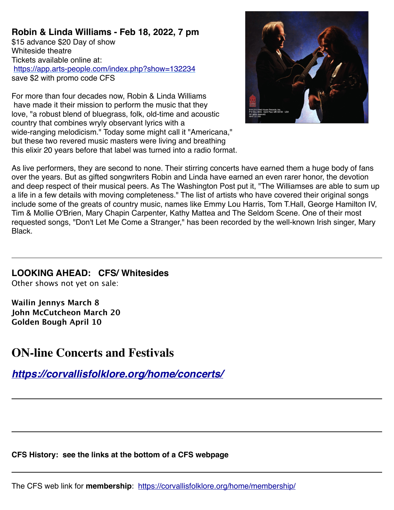**Robin & Linda Williams - Feb 18, 2022, 7 pm** \$15 advance \$20 Day of show Whiteside theatre Tickets available online at: <https://app.arts-people.com/index.php?show=132234> save \$2 with promo code CFS

For more than four decades now, Robin & Linda Williams have made it their mission to perform the music that they love, "a robust blend of bluegrass, folk, old-time and acoustic country that combines wryly observant lyrics with a wide-ranging melodicism." Today some might call it "Americana," but these two revered music masters were living and breathing this elixir 20 years before that label was turned into a radio format.



As live performers, they are second to none. Their stirring concerts have earned them a huge body of fans over the years. But as gifted songwriters Robin and Linda have earned an even rarer honor, the devotion and deep respect of their musical peers. As The Washington Post put it, "The Williamses are able to sum up a life in a few details with moving completeness." The list of artists who have covered their original songs include some of the greats of country music, names like Emmy Lou Harris, Tom T.Hall, George Hamilton IV, Tim & Mollie O'Brien, Mary Chapin Carpenter, Kathy Mattea and The Seldom Scene. One of their most requested songs, "Don't Let Me Come a Stranger," has been recorded by the well-known Irish singer, Mary **Black** 

## **LOOKING AHEAD: CFS/ Whitesides**

Other shows not yet on sale:

**Wailin Jennys March 8 John McCutcheon March 20 Golden Bough April 10**

## **ON-line Concerts and Festivals**

*<https://corvallisfolklore.org/home/concerts/>*

**CFS History: see the links at the bottom of a CFS webpage**

The CFS web link for **membership**: <https://corvallisfolklore.org/home/membership/>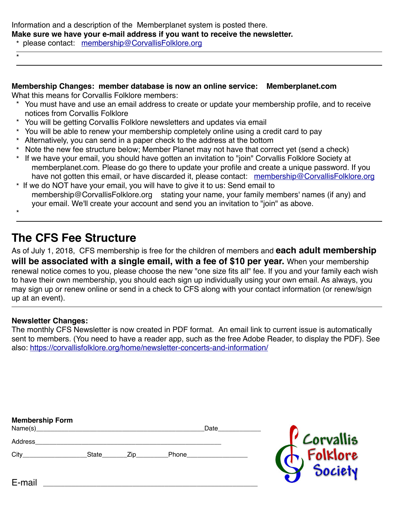Information and a description of the Memberplanet system is posted there. **Make sure we have your e-mail address if you want to receive the newsletter.**

\* please contact: [membership@CorvallisFolklore.org](mailto:membership@CorvallisFolklore.org)

## **Membership Changes: member database is now an online service: Memberplanet.com**

What this means for Corvallis Folklore members:

- \* You must have and use an email address to create or update your membership profile, and to receive notices from Corvallis Folklore
- \* You will be getting Corvallis Folklore newsletters and updates via email
- \* You will be able to renew your membership completely online using a credit card to pay
- \* Alternatively, you can send in a paper check to the address at the bottom
- \* Note the new fee structure below; Member Planet may not have that correct yet (send a check)
- \* If we have your email, you should have gotten an invitation to "join" Corvallis Folklore Society at memberplanet.com. Please do go there to update your profile and create a unique password. If you have not gotten this email, or have discarded it, please contact: [membership@CorvallisFolklore.org](mailto:membership@CorvallisFolklore.org)
- \* If we do NOT have your email, you will have to give it to us: Send email to membership@CorvallisFolklore.org stating your name, your family members' names (if any) and your email. We'll create your account and send you an invitation to "join" as above.

\*

\*

## **The CFS Fee Structure**

As of July 1, 2018, CFS membership is free for the children of members and **each adult membership will be associated with a single email, with a fee of \$10 per year.** When your membership renewal notice comes to you, please choose the new "one size fits all" fee. If you and your family each wish to have their own membership, you should each sign up individually using your own email. As always, you may sign up or renew online or send in a check to CFS along with your contact information (or renew/sign up at an event).

#### **Newsletter Changes:**

The monthly CFS Newsletter is now created in PDF format. An email link to current issue is automatically sent to members. (You need to have a reader app, such as the free Adobe Reader, to display the PDF). See also: <https://corvallisfolklore.org/home/newsletter-concerts-and-information/>

| <b>Membership Form</b> |       |     |       | Date |            |
|------------------------|-------|-----|-------|------|------------|
| Address                |       |     |       |      | 'Corvallis |
| City                   | State | Zip | Phone |      | Folklore   |
|                        |       |     |       |      |            |
| E-mail                 |       |     |       |      |            |